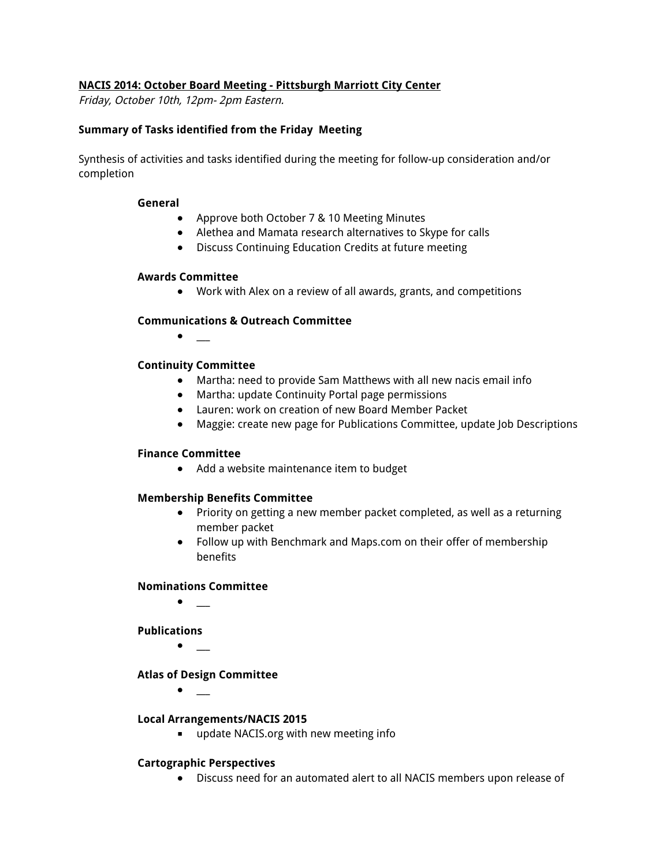### **NACIS 2014: October Board Meeting - Pittsburgh Marriott City Center**

Friday, October 10th, 12pm- 2pm Eastern.

### **Summary of Tasks identified from the Friday Meeting**

Synthesis of activities and tasks identified during the meeting for follow-up consideration and/or completion

#### **General**

- Approve both October 7 & 10 Meeting Minutes
- **●** Alethea and Mamata research alternatives to Skype for calls
- **●** Discuss Continuing Education Credits at future meeting

### **Awards Committee**

● Work with Alex on a review of all awards, grants, and competitions

### **Communications & Outreach Committee**

● \_\_\_

### **Continuity Committee**

- **●** Martha: need to provide Sam Matthews with all new nacis email info
- **●** Martha: update Continuity Portal page permissions
- **●** Lauren: work on creation of new Board Member Packet
- **●** Maggie: create new page for Publications Committee, update Job Descriptions

### **Finance Committee**

● Add a website maintenance item to budget

### **Membership Benefits Committee**

- Priority on getting a new member packet completed, as well as a returning member packet
- **●** Follow up with Benchmark and Maps.com on their offer of membership benefits

### **Nominations Committee**

**●** \_\_\_

### **Publications**

● \_\_\_

### **Atlas of Design Committee**

 $\bullet$  \_

### **Local Arrangements/NACIS 2015**

■ update NACIS.org with new meeting info

### **Cartographic Perspectives**

**●** Discuss need for an automated alert to all NACIS members upon release of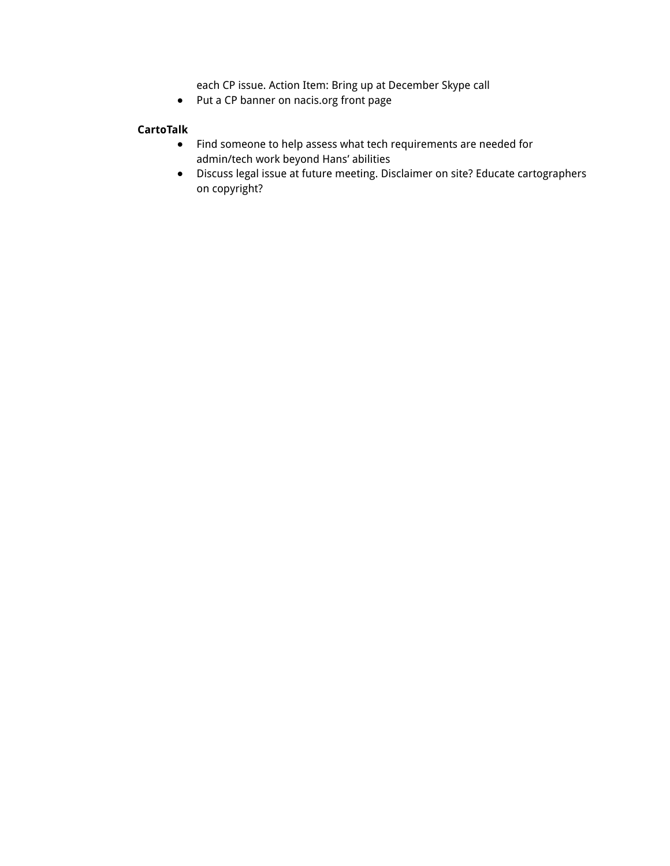each CP issue. Action Item: Bring up at December Skype call

**●** Put a CP banner on nacis.org front page

# **CartoTalk**

- **●** Find someone to help assess what tech requirements are needed for admin/tech work beyond Hans' abilities
- **●** Discuss legal issue at future meeting. Disclaimer on site? Educate cartographers on copyright?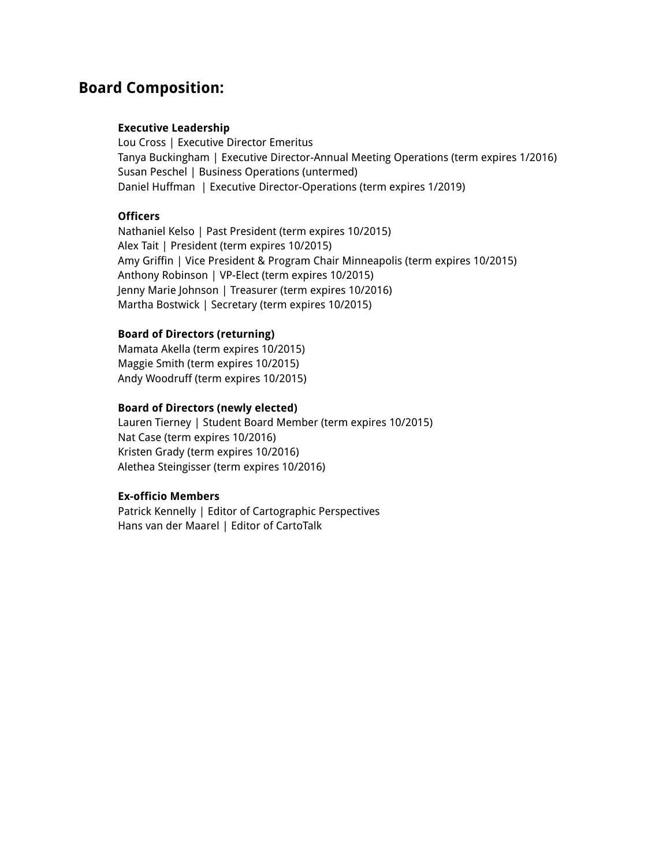# **Board Composition:**

### **Executive Leadership**

Lou Cross | Executive Director Emeritus Tanya Buckingham | Executive Director-Annual Meeting Operations (term expires 1/2016) Susan Peschel | Business Operations (untermed) Daniel Huffman | Executive Director-Operations (term expires 1/2019)

### **Officers**

Nathaniel Kelso | Past President (term expires 10/2015) Alex Tait | President (term expires 10/2015) Amy Griffin | Vice President & Program Chair Minneapolis (term expires 10/2015) Anthony Robinson | VP-Elect (term expires 10/2015) Jenny Marie Johnson | Treasurer (term expires 10/2016) Martha Bostwick | Secretary (term expires 10/2015)

### **Board of Directors (returning)**

Mamata Akella (term expires 10/2015) Maggie Smith (term expires 10/2015) Andy Woodruff (term expires 10/2015)

### **Board of Directors (newly elected)**

Lauren Tierney | Student Board Member (term expires 10/2015) Nat Case (term expires 10/2016) Kristen Grady (term expires 10/2016) Alethea Steingisser (term expires 10/2016)

### **Ex-officio Members**

Patrick Kennelly | Editor of Cartographic Perspectives Hans van der Maarel | Editor of CartoTalk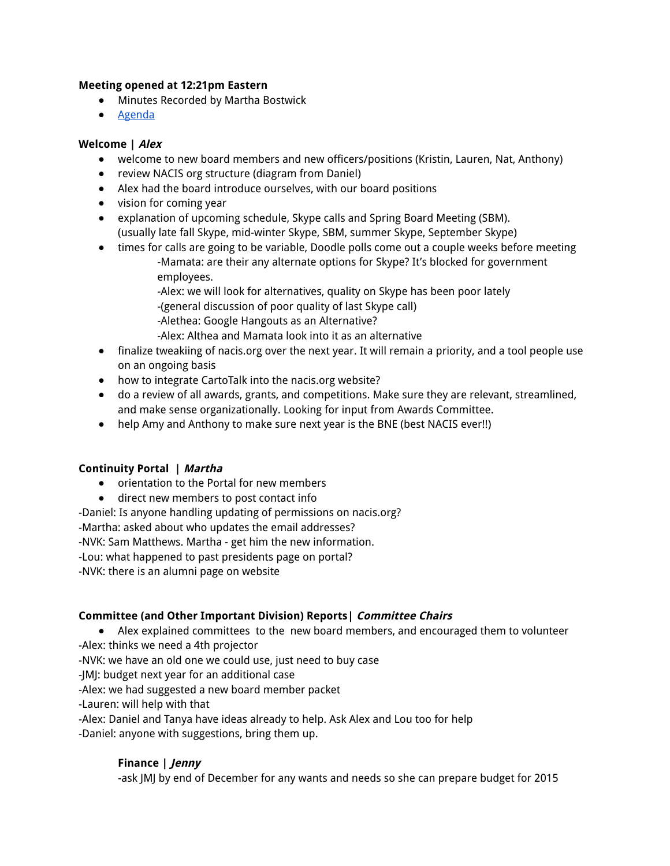### **Meeting opened at 12:21pm Eastern**

- Minutes Recorded by Martha Bostwick
- Agenda

### **Welcome | Alex**

- welcome to new board members and new officers/positions (Kristin, Lauren, Nat, Anthony)
- review NACIS org structure (diagram from Daniel)
- Alex had the board introduce ourselves, with our board positions
- vision for coming year
- explanation of upcoming schedule, Skype calls and Spring Board Meeting (SBM). (usually late fall Skype, mid-winter Skype, SBM, summer Skype, September Skype)
- times for calls are going to be variable, Doodle polls come out a couple weeks before meeting -Mamata: are their any alternate options for Skype? It's blocked for government employees.
	- -Alex: we will look for alternatives, quality on Skype has been poor lately
	- -(general discussion of poor quality of last Skype call)
	- -Alethea: Google Hangouts as an Alternative?
	- -Alex: Althea and Mamata look into it as an alternative
- finalize tweakiing of nacis.org over the next year. It will remain a priority, and a tool people use on an ongoing basis
- how to integrate CartoTalk into the nacis.org website?
- do a review of all awards, grants, and competitions. Make sure they are relevant, streamlined, and make sense organizationally. Looking for input from Awards Committee.
- help Amy and Anthony to make sure next year is the BNE (best NACIS ever!!)

# **Continuity Portal | Martha**

- orientation to the Portal for new members
- direct new members to post contact info
- -Daniel: Is anyone handling updating of permissions on nacis.org?
- -Martha: asked about who updates the email addresses?
- -NVK: Sam Matthews. Martha get him the new information.
- -Lou: what happened to past presidents page on portal?
- -NVK: there is an alumni page on website

# **Committee (and Other Important Division) Reports| Committee Chairs**

- Alex explained committees to the new board members, and encouraged them to volunteer
- -Alex: thinks we need a 4th projector
- -NVK: we have an old one we could use, just need to buy case
- -JMJ: budget next year for an additional case
- -Alex: we had suggested a new board member packet
- -Lauren: will help with that
- -Alex: Daniel and Tanya have ideas already to help. Ask Alex and Lou too for help
- -Daniel: anyone with suggestions, bring them up.

# **Finance | Jenny**

-ask JMJ by end of December for any wants and needs so she can prepare budget for 2015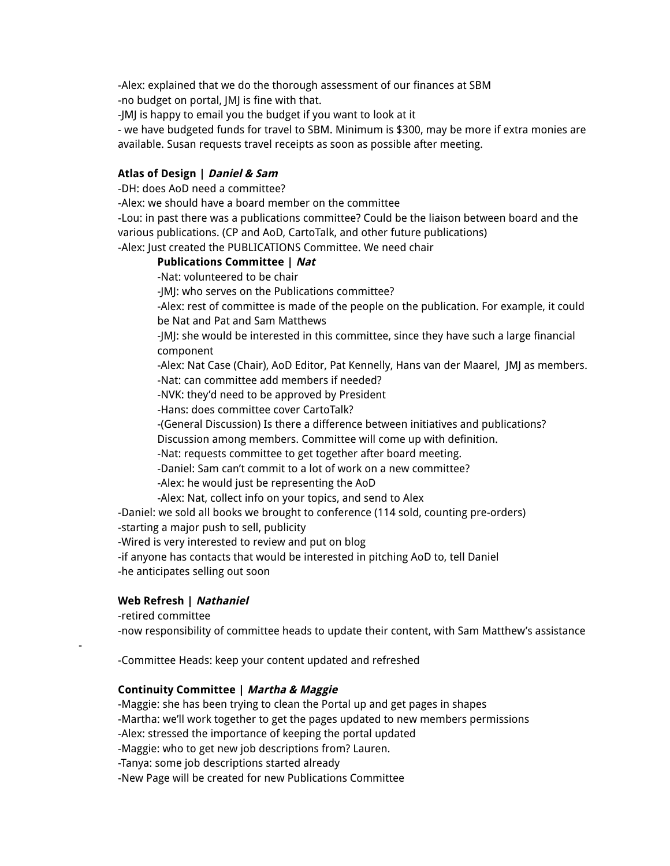-Alex: explained that we do the thorough assessment of our finances at SBM -no budget on portal, JMJ is fine with that.

-JMJ is happy to email you the budget if you want to look at it

- we have budgeted funds for travel to SBM. Minimum is \$300, may be more if extra monies are available. Susan requests travel receipts as soon as possible after meeting.

### **Atlas of Design | Daniel & Sam**

-DH: does AoD need a committee?

-Alex: we should have a board member on the committee

-Lou: in past there was a publications committee? Could be the liaison between board and the various publications. (CP and AoD, CartoTalk, and other future publications) -Alex: Just created the PUBLICATIONS Committee. We need chair

#### **Publications Committee | Nat**

-Nat: volunteered to be chair

-JMJ: who serves on the Publications committee?

-Alex: rest of committee is made of the people on the publication. For example, it could be Nat and Pat and Sam Matthews

-JMJ: she would be interested in this committee, since they have such a large financial component

-Alex: Nat Case (Chair), AoD Editor, Pat Kennelly, Hans van der Maarel, JMJ as members. -Nat: can committee add members if needed?

-NVK: they'd need to be approved by President

-Hans: does committee cover CartoTalk?

-(General Discussion) Is there a difference between initiatives and publications?

Discussion among members. Committee will come up with definition.

-Nat: requests committee to get together after board meeting.

-Daniel: Sam can't commit to a lot of work on a new committee?

-Alex: he would just be representing the AoD

-Alex: Nat, collect info on your topics, and send to Alex

-Daniel: we sold all books we brought to conference (114 sold, counting pre-orders)

-starting a major push to sell, publicity

-Wired is very interested to review and put on blog

-if anyone has contacts that would be interested in pitching AoD to, tell Daniel -he anticipates selling out soon

### **Web Refresh | Nathaniel**

-retired committee

-

-now responsibility of committee heads to update their content, with Sam Matthew's assistance

-Committee Heads: keep your content updated and refreshed

### **Continuity Committee | Martha & Maggie**

-Maggie: she has been trying to clean the Portal up and get pages in shapes -Martha: we'll work together to get the pages updated to new members permissions -Alex: stressed the importance of keeping the portal updated

-Maggie: who to get new job descriptions from? Lauren.

-Tanya: some job descriptions started already

-New Page will be created for new Publications Committee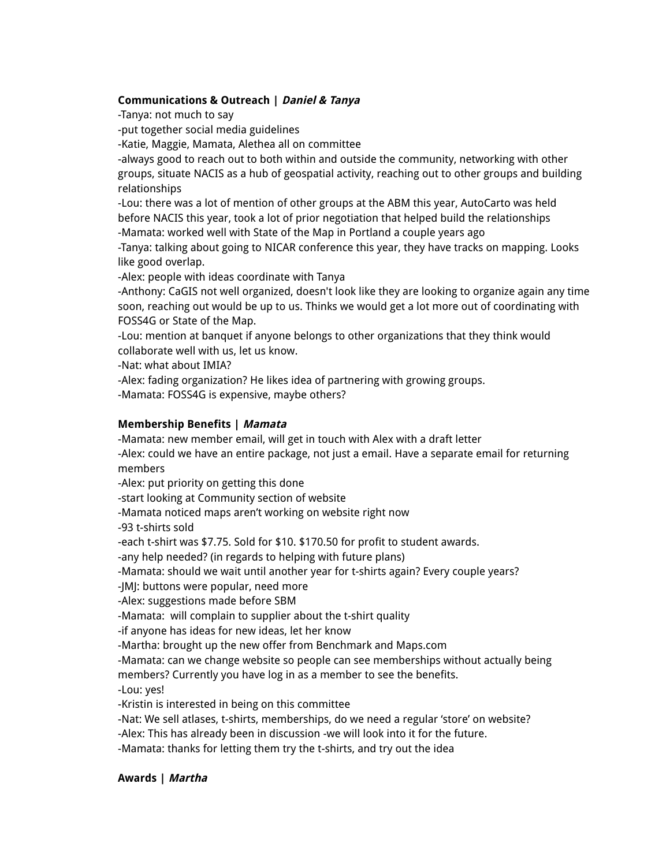### **Communications & Outreach | Daniel & Tanya**

-Tanya: not much to say

-put together social media guidelines

-Katie, Maggie, Mamata, Alethea all on committee

-always good to reach out to both within and outside the community, networking with other groups, situate NACIS as a hub of geospatial activity, reaching out to other groups and building relationships

-Lou: there was a lot of mention of other groups at the ABM this year, AutoCarto was held before NACIS this year, took a lot of prior negotiation that helped build the relationships -Mamata: worked well with State of the Map in Portland a couple years ago

-Tanya: talking about going to NICAR conference this year, they have tracks on mapping. Looks like good overlap.

-Alex: people with ideas coordinate with Tanya

-Anthony: CaGIS not well organized, doesn't look like they are looking to organize again any time soon, reaching out would be up to us. Thinks we would get a lot more out of coordinating with FOSS4G or State of the Map.

-Lou: mention at banquet if anyone belongs to other organizations that they think would collaborate well with us, let us know.

-Nat: what about IMIA?

-Alex: fading organization? He likes idea of partnering with growing groups. -Mamata: FOSS4G is expensive, maybe others?

### **Membership Benefits | Mamata**

-Mamata: new member email, will get in touch with Alex with a draft letter

-Alex: could we have an entire package, not just a email. Have a separate email for returning members

-Alex: put priority on getting this done

-start looking at Community section of website

-Mamata noticed maps aren't working on website right now

-93 t-shirts sold

-each t-shirt was \$7.75. Sold for \$10. \$170.50 for profit to student awards.

-any help needed? (in regards to helping with future plans)

-Mamata: should we wait until another year for t-shirts again? Every couple years?

-JMJ: buttons were popular, need more

-Alex: suggestions made before SBM

-Mamata: will complain to supplier about the t-shirt quality

-if anyone has ideas for new ideas, let her know

-Martha: brought up the new offer from Benchmark and Maps.com

-Mamata: can we change website so people can see memberships without actually being members? Currently you have log in as a member to see the benefits.

-Lou: yes!

-Kristin is interested in being on this committee

-Nat: We sell atlases, t-shirts, memberships, do we need a regular 'store' on website?

-Alex: This has already been in discussion -we will look into it for the future.

-Mamata: thanks for letting them try the t-shirts, and try out the idea

#### **Awards | Martha**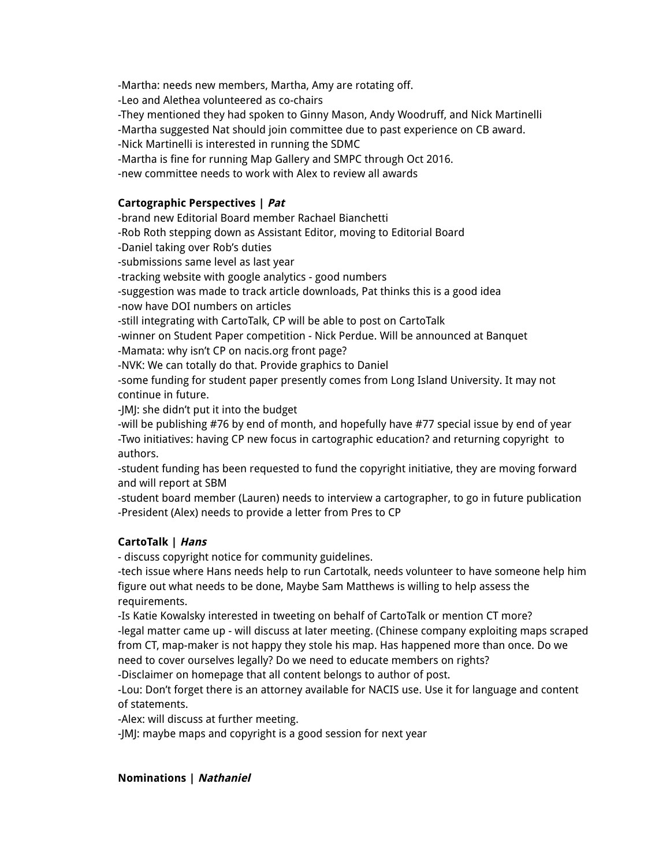-Martha: needs new members, Martha, Amy are rotating off. -Leo and Alethea volunteered as co-chairs -They mentioned they had spoken to Ginny Mason, Andy Woodruff, and Nick Martinelli -Martha suggested Nat should join committee due to past experience on CB award. -Nick Martinelli is interested in running the SDMC -Martha is fine for running Map Gallery and SMPC through Oct 2016. -new committee needs to work with Alex to review all awards

### **Cartographic Perspectives | Pat**

-brand new Editorial Board member Rachael Bianchetti

-Rob Roth stepping down as Assistant Editor, moving to Editorial Board

-Daniel taking over Rob's duties

-submissions same level as last year

-tracking website with google analytics - good numbers

-suggestion was made to track article downloads, Pat thinks this is a good idea

-now have DOI numbers on articles

-still integrating with CartoTalk, CP will be able to post on CartoTalk

-winner on Student Paper competition - Nick Perdue. Will be announced at Banquet -Mamata: why isn't CP on nacis.org front page?

-NVK: We can totally do that. Provide graphics to Daniel

-some funding for student paper presently comes from Long Island University. It may not continue in future.

-JMJ: she didn't put it into the budget

-will be publishing #76 by end of month, and hopefully have #77 special issue by end of year -Two initiatives: having CP new focus in cartographic education? and returning copyright to authors.

-student funding has been requested to fund the copyright initiative, they are moving forward and will report at SBM

-student board member (Lauren) needs to interview a cartographer, to go in future publication -President (Alex) needs to provide a letter from Pres to CP

# **CartoTalk | Hans**

- discuss copyright notice for community guidelines.

-tech issue where Hans needs help to run Cartotalk, needs volunteer to have someone help him figure out what needs to be done, Maybe Sam Matthews is willing to help assess the requirements.

-Is Katie Kowalsky interested in tweeting on behalf of CartoTalk or mention CT more? -legal matter came up - will discuss at later meeting. (Chinese company exploiting maps scraped from CT, map-maker is not happy they stole his map. Has happened more than once. Do we need to cover ourselves legally? Do we need to educate members on rights?

-Disclaimer on homepage that all content belongs to author of post.

-Lou: Don't forget there is an attorney available for NACIS use. Use it for language and content of statements.

-Alex: will discuss at further meeting.

-JMJ: maybe maps and copyright is a good session for next year

### **Nominations | Nathaniel**